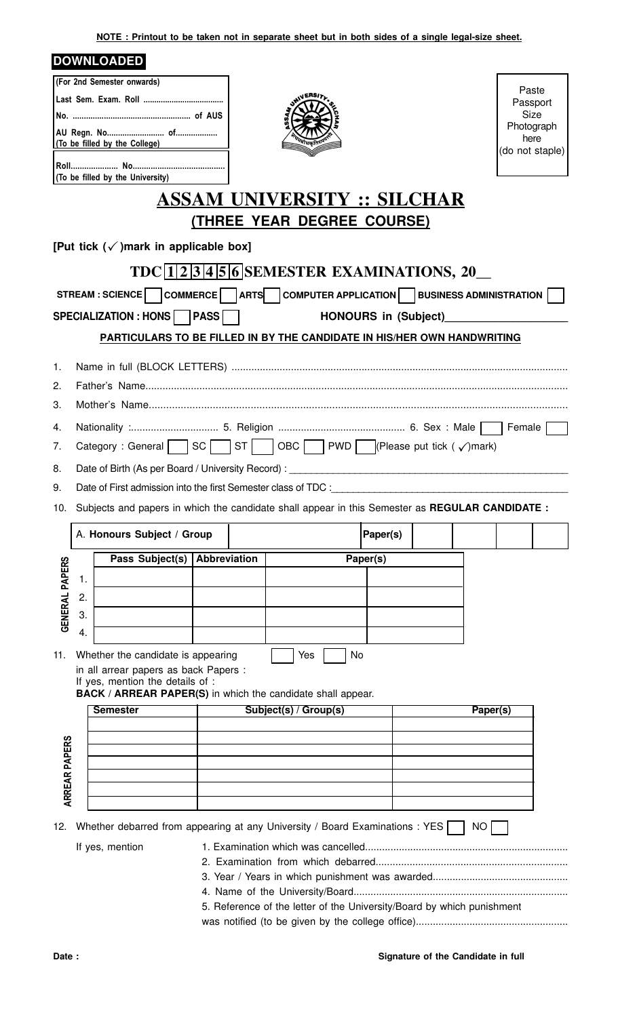**NOTE : Printout to be taken not in separate sheet but in both sides of a single legal-size sheet.**

## **DOWNLOADED**

| (For 2nd Semester onwards) |
|----------------------------|
|                            |
|                            |
|                            |
|                            |
|                            |
|                            |
|                            |



Paste Passport Size Photograph here (do not staple)

## **ASSAM UNIVERSITY :: SILCHAR (THREE YEAR DEGREE COURSE)**

P **[Put tick ( )mark in applicable box]**

|                       |                                                                         |                                                                                                                                                                                |  | TDC 1 2 3 4 5 6 SEMESTER EXAMINATIONS, 20 |          |  |          |  |  |
|-----------------------|-------------------------------------------------------------------------|--------------------------------------------------------------------------------------------------------------------------------------------------------------------------------|--|-------------------------------------------|----------|--|----------|--|--|
|                       |                                                                         | STREAM : SCIENCE COMMERCE ARTS COMPUTER APPLICATION BUSINESS ADMINISTRATION                                                                                                    |  |                                           |          |  |          |  |  |
|                       | SPECIALIZATION : HONS   PASS  <br><b>HONOURS in (Subject)</b>           |                                                                                                                                                                                |  |                                           |          |  |          |  |  |
|                       | PARTICULARS TO BE FILLED IN BY THE CANDIDATE IN HIS/HER OWN HANDWRITING |                                                                                                                                                                                |  |                                           |          |  |          |  |  |
| 1.                    |                                                                         |                                                                                                                                                                                |  |                                           |          |  |          |  |  |
| 2.                    |                                                                         |                                                                                                                                                                                |  |                                           |          |  |          |  |  |
| 3.                    |                                                                         |                                                                                                                                                                                |  |                                           |          |  |          |  |  |
| 4.                    |                                                                         |                                                                                                                                                                                |  |                                           |          |  |          |  |  |
| 7.                    |                                                                         | Category : General SC ST ST OBC PWD PURPlease put tick ( $\sqrt{ }$ ) mark)                                                                                                    |  |                                           |          |  |          |  |  |
| 8.                    |                                                                         | Date of Birth (As per Board / University Record) :                                                                                                                             |  |                                           |          |  |          |  |  |
| 9.                    | Date of First admission into the first Semester class of TDC :          |                                                                                                                                                                                |  |                                           |          |  |          |  |  |
| 10.                   |                                                                         | Subjects and papers in which the candidate shall appear in this Semester as REGULAR CANDIDATE :                                                                                |  |                                           |          |  |          |  |  |
|                       |                                                                         | A. Honours Subject / Group                                                                                                                                                     |  |                                           | Paper(s) |  |          |  |  |
|                       |                                                                         |                                                                                                                                                                                |  |                                           |          |  |          |  |  |
| <b>GENERAL PAPERS</b> |                                                                         | Pass Subject(s)   Abbreviation                                                                                                                                                 |  |                                           | Paper(s) |  |          |  |  |
|                       | 1.                                                                      |                                                                                                                                                                                |  |                                           |          |  |          |  |  |
|                       | 2.<br>3.                                                                |                                                                                                                                                                                |  |                                           |          |  |          |  |  |
|                       | 4.                                                                      |                                                                                                                                                                                |  |                                           |          |  |          |  |  |
|                       |                                                                         |                                                                                                                                                                                |  |                                           |          |  |          |  |  |
| 11.                   |                                                                         | Whether the candidate is appearing<br>in all arrear papers as back Papers :<br>If yes, mention the details of :<br>BACK / ARREAR PAPER(S) in which the candidate shall appear. |  | Yes<br>No                                 |          |  |          |  |  |
|                       | <b>Semester</b>                                                         |                                                                                                                                                                                |  | Subject(s) / Group(s)                     |          |  | Paper(s) |  |  |
|                       |                                                                         |                                                                                                                                                                                |  |                                           |          |  |          |  |  |
|                       |                                                                         |                                                                                                                                                                                |  |                                           |          |  |          |  |  |
|                       |                                                                         |                                                                                                                                                                                |  |                                           |          |  |          |  |  |
| <b>ARREAR PAPERS</b>  |                                                                         |                                                                                                                                                                                |  |                                           |          |  |          |  |  |
|                       |                                                                         |                                                                                                                                                                                |  |                                           |          |  |          |  |  |
|                       |                                                                         | 12. Whether debarred from appearing at any University / Board Examinations : YES                                                                                               |  |                                           |          |  | NO       |  |  |
|                       |                                                                         | If yes, mention                                                                                                                                                                |  |                                           |          |  |          |  |  |
|                       |                                                                         |                                                                                                                                                                                |  |                                           |          |  |          |  |  |
|                       |                                                                         |                                                                                                                                                                                |  |                                           |          |  |          |  |  |
|                       | 5. Reference of the letter of the University/Board by which punishment  |                                                                                                                                                                                |  |                                           |          |  |          |  |  |